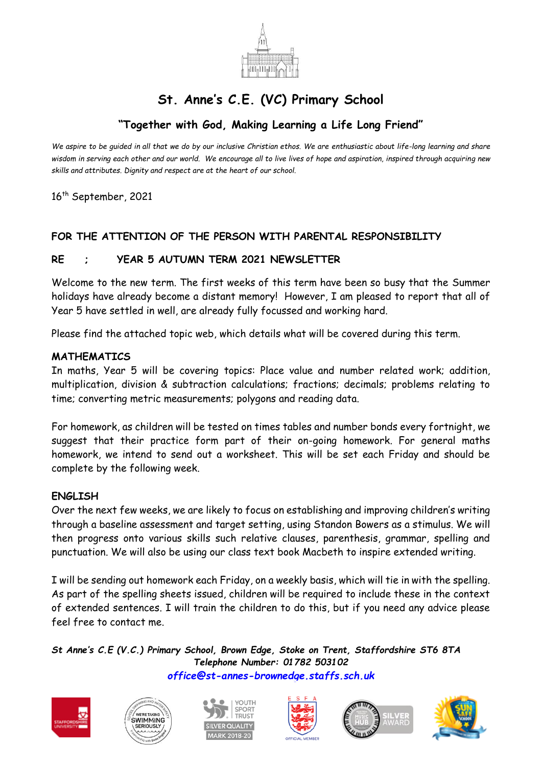

# **St. Anne's C.E. (VC) Primary School**

## **"Together with God, Making Learning a Life Long Friend"**

*We aspire to be guided in all that we do by our inclusive Christian ethos. We are enthusiastic about life-long learning and share wisdom in serving each other and our world. We encourage all to live lives of hope and aspiration, inspired through acquiring new skills and attributes. Dignity and respect are at the heart of our school.*

16<sup>th</sup> September, 2021

### **FOR THE ATTENTION OF THE PERSON WITH PARENTAL RESPONSIBILITY**

#### **RE ; YEAR 5 AUTUMN TERM 2021 NEWSLETTER**

Welcome to the new term. The first weeks of this term have been so busy that the Summer holidays have already become a distant memory! However, I am pleased to report that all of Year 5 have settled in well, are already fully focussed and working hard.

Please find the attached topic web, which details what will be covered during this term.

#### **MATHEMATICS**

In maths, Year 5 will be covering topics: Place value and number related work; addition, multiplication, division & subtraction calculations; fractions; decimals; problems relating to time; converting metric measurements; polygons and reading data.

For homework, as children will be tested on times tables and number bonds every fortnight, we suggest that their practice form part of their on-going homework. For general maths homework, we intend to send out a worksheet. This will be set each Friday and should be complete by the following week.

#### **ENGLISH**

Over the next few weeks, we are likely to focus on establishing and improving children's writing through a baseline assessment and target setting, using Standon Bowers as a stimulus. We will then progress onto various skills such relative clauses, parenthesis, grammar, spelling and punctuation. We will also be using our class text book Macbeth to inspire extended writing.

I will be sending out homework each Friday, on a weekly basis, which will tie in with the spelling. As part of the spelling sheets issued, children will be required to include these in the context of extended sentences. I will train the children to do this, but if you need any advice please feel free to contact me.

*St Anne's C.E (V.C.) Primary School, Brown Edge, Stoke on Trent, Staffordshire ST6 8TA Telephone Number: 01782 503102 [office@st-annes-brownedge.staffs.sch.uk](mailto:office@st-annes-brownedge.staffs.sch.uk)*